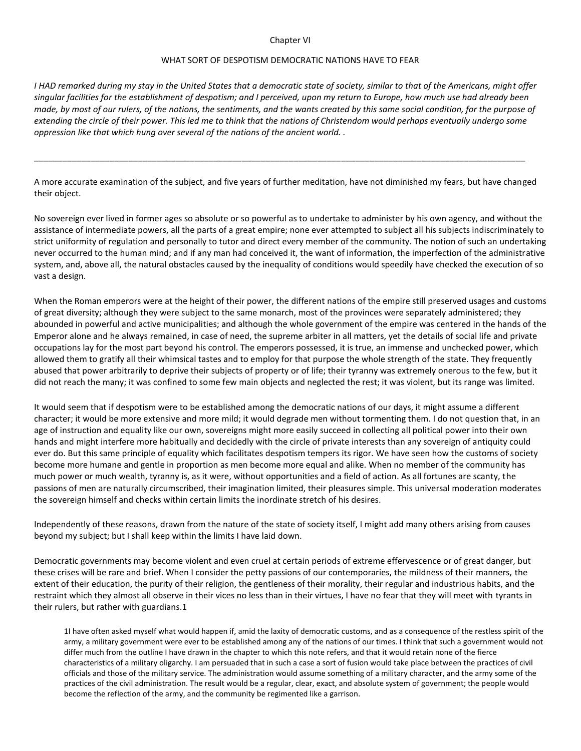## Chapter VI

## WHAT SORT OF DESPOTISM DEMOCRATIC NATIONS HAVE TO FEAR

*I HAD remarked during my stay in the United States that a democratic state of society, similar to that of the Americans, might offer singular facilities for the establishment of despotism; and I perceived, upon my return to Europe, how much use had already been made, by most of our rulers, of the notions, the sentiments, and the wants created by this same social condition, for the purpose of extending the circle of their power. This led me to think that the nations of Christendom would perhaps eventually undergo some oppression like that which hung over several of the nations of the ancient world. .*

A more accurate examination of the subject, and five years of further meditation, have not diminished my fears, but have changed their object.

\_\_\_\_\_\_\_\_\_\_\_\_\_\_\_\_\_\_\_\_\_\_\_\_\_\_\_\_\_\_\_\_\_\_\_\_\_\_\_\_\_\_\_\_\_\_\_\_\_\_\_\_\_\_\_\_\_\_\_\_\_\_\_\_\_\_\_\_\_\_\_\_\_\_\_\_\_\_\_\_\_\_\_\_\_\_\_\_\_\_\_\_\_\_\_\_\_\_\_\_\_\_\_\_

No sovereign ever lived in former ages so absolute or so powerful as to undertake to administer by his own agency, and without the assistance of intermediate powers, all the parts of a great empire; none ever attempted to subject all his subjects indiscriminately to strict uniformity of regulation and personally to tutor and direct every member of the community. The notion of such an undertaking never occurred to the human mind; and if any man had conceived it, the want of information, the imperfection of the administrative system, and, above all, the natural obstacles caused by the inequality of conditions would speedily have checked the execution of so vast a design.

When the Roman emperors were at the height of their power, the different nations of the empire still preserved usages and customs of great diversity; although they were subject to the same monarch, most of the provinces were separately administered; they abounded in powerful and active municipalities; and although the whole government of the empire was centered in the hands of the Emperor alone and he always remained, in case of need, the supreme arbiter in all matters, yet the details of social life and private occupations lay for the most part beyond his control. The emperors possessed, it is true, an immense and unchecked power, which allowed them to gratify all their whimsical tastes and to employ for that purpose the whole strength of the state. They frequently abused that power arbitrarily to deprive their subjects of property or of life; their tyranny was extremely onerous to the few, but it did not reach the many; it was confined to some few main objects and neglected the rest; it was violent, but its range was limited.

It would seem that if despotism were to be established among the democratic nations of our days, it might assume a different character; it would be more extensive and more mild; it would degrade men without tormenting them. I do not question that, in an age of instruction and equality like our own, sovereigns might more easily succeed in collecting all political power into their own hands and might interfere more habitually and decidedly with the circle of private interests than any sovereign of antiquity could ever do. But this same principle of equality which facilitates despotism tempers its rigor. We have seen how the customs of society become more humane and gentle in proportion as men become more equal and alike. When no member of the community has much power or much wealth, tyranny is, as it were, without opportunities and a field of action. As all fortunes are scanty, the passions of men are naturally circumscribed, their imagination limited, their pleasures simple. This universal moderation moderates the sovereign himself and checks within certain limits the inordinate stretch of his desires.

Independently of these reasons, drawn from the nature of the state of society itself, I might add many others arising from causes beyond my subject; but I shall keep within the limits I have laid down.

Democratic governments may become violent and even cruel at certain periods of extreme effervescence or of great danger, but these crises will be rare and brief. When I consider the petty passions of our contemporaries, the mildness of their manners, the extent of their education, the purity of their religion, the gentleness of their morality, their regular and industrious habits, and the restraint which they almost all observe in their vices no less than in their virtues, I have no fear that they will meet with tyrants in their rulers, but rather with guardians.1

1I have often asked myself what would happen if, amid the laxity of democratic customs, and as a consequence of the restless spirit of the army, a military government were ever to be established among any of the nations of our times. I think that such a government would not differ much from the outline I have drawn in the chapter to which this note refers, and that it would retain none of the fierce characteristics of a military oligarchy. I am persuaded that in such a case a sort of fusion would take place between the practices of civil officials and those of the military service. The administration would assume something of a military character, and the army some of the practices of the civil administration. The result would be a regular, clear, exact, and absolute system of government; the people would become the reflection of the army, and the community be regimented like a garrison.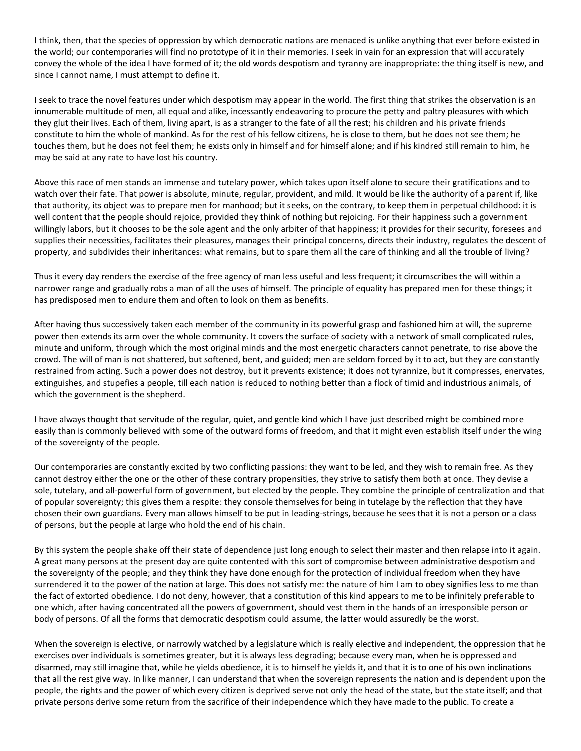I think, then, that the species of oppression by which democratic nations are menaced is unlike anything that ever before existed in the world; our contemporaries will find no prototype of it in their memories. I seek in vain for an expression that will accurately convey the whole of the idea I have formed of it; the old words despotism and tyranny are inappropriate: the thing itself is new, and since I cannot name, I must attempt to define it.

I seek to trace the novel features under which despotism may appear in the world. The first thing that strikes the observation is an innumerable multitude of men, all equal and alike, incessantly endeavoring to procure the petty and paltry pleasures with which they glut their lives. Each of them, living apart, is as a stranger to the fate of all the rest; his children and his private friends constitute to him the whole of mankind. As for the rest of his fellow citizens, he is close to them, but he does not see them; he touches them, but he does not feel them; he exists only in himself and for himself alone; and if his kindred still remain to him, he may be said at any rate to have lost his country.

Above this race of men stands an immense and tutelary power, which takes upon itself alone to secure their gratifications and to watch over their fate. That power is absolute, minute, regular, provident, and mild. It would be like the authority of a parent if, like that authority, its object was to prepare men for manhood; but it seeks, on the contrary, to keep them in perpetual childhood: it is well content that the people should rejoice, provided they think of nothing but rejoicing. For their happiness such a government willingly labors, but it chooses to be the sole agent and the only arbiter of that happiness; it provides for their security, foresees and supplies their necessities, facilitates their pleasures, manages their principal concerns, directs their industry, regulates the descent of property, and subdivides their inheritances: what remains, but to spare them all the care of thinking and all the trouble of living?

Thus it every day renders the exercise of the free agency of man less useful and less frequent; it circumscribes the will within a narrower range and gradually robs a man of all the uses of himself. The principle of equality has prepared men for these things; it has predisposed men to endure them and often to look on them as benefits.

After having thus successively taken each member of the community in its powerful grasp and fashioned him at will, the supreme power then extends its arm over the whole community. It covers the surface of society with a network of small complicated rules, minute and uniform, through which the most original minds and the most energetic characters cannot penetrate, to rise above the crowd. The will of man is not shattered, but softened, bent, and guided; men are seldom forced by it to act, but they are constantly restrained from acting. Such a power does not destroy, but it prevents existence; it does not tyrannize, but it compresses, enervates, extinguishes, and stupefies a people, till each nation is reduced to nothing better than a flock of timid and industrious animals, of which the government is the shepherd.

I have always thought that servitude of the regular, quiet, and gentle kind which I have just described might be combined more easily than is commonly believed with some of the outward forms of freedom, and that it might even establish itself under the wing of the sovereignty of the people.

Our contemporaries are constantly excited by two conflicting passions: they want to be led, and they wish to remain free. As they cannot destroy either the one or the other of these contrary propensities, they strive to satisfy them both at once. They devise a sole, tutelary, and all-powerful form of government, but elected by the people. They combine the principle of centralization and that of popular sovereignty; this gives them a respite: they console themselves for being in tutelage by the reflection that they have chosen their own guardians. Every man allows himself to be put in leading-strings, because he sees that it is not a person or a class of persons, but the people at large who hold the end of his chain.

By this system the people shake off their state of dependence just long enough to select their master and then relapse into it again. A great many persons at the present day are quite contented with this sort of compromise between administrative despotism and the sovereignty of the people; and they think they have done enough for the protection of individual freedom when they have surrendered it to the power of the nation at large. This does not satisfy me: the nature of him I am to obey signifies less to me than the fact of extorted obedience. I do not deny, however, that a constitution of this kind appears to me to be infinitely preferable to one which, after having concentrated all the powers of government, should vest them in the hands of an irresponsible person or body of persons. Of all the forms that democratic despotism could assume, the latter would assuredly be the worst.

When the sovereign is elective, or narrowly watched by a legislature which is really elective and independent, the oppression that he exercises over individuals is sometimes greater, but it is always less degrading; because every man, when he is oppressed and disarmed, may still imagine that, while he yields obedience, it is to himself he yields it, and that it is to one of his own inclinations that all the rest give way. In like manner, I can understand that when the sovereign represents the nation and is dependent upon the people, the rights and the power of which every citizen is deprived serve not only the head of the state, but the state itself; and that private persons derive some return from the sacrifice of their independence which they have made to the public. To create a